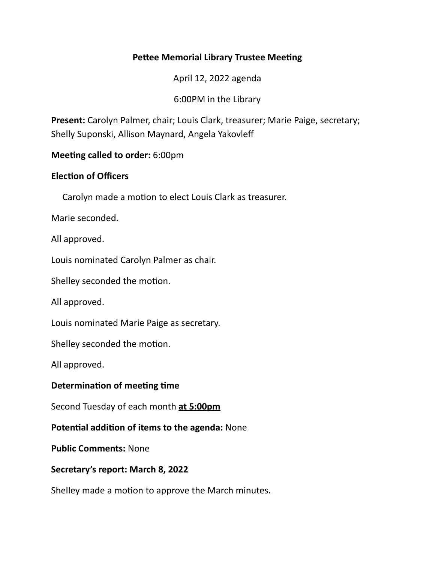# **Pettee Memorial Library Trustee Meeting**

April 12, 2022 agenda

6:00PM in the Library

**Present:** Carolyn Palmer, chair; Louis Clark, treasurer; Marie Paige, secretary; Shelly Suponski, Allison Maynard, Angela Yakovleff

## **Meeting called to order:** 6:00pm

#### **Election of Officers**

Carolyn made a motion to elect Louis Clark as treasurer.

Marie seconded.

All approved.

Louis nominated Carolyn Palmer as chair.

Shelley seconded the motion.

All approved.

Louis nominated Marie Paige as secretary.

Shelley seconded the motion.

All approved.

## **Determination of meeting time**

Second Tuesday of each month at 5:00pm

**Potential addition of items to the agenda:** None

**Public Comments: None** 

#### Secretary's report: March 8, 2022

Shelley made a motion to approve the March minutes.